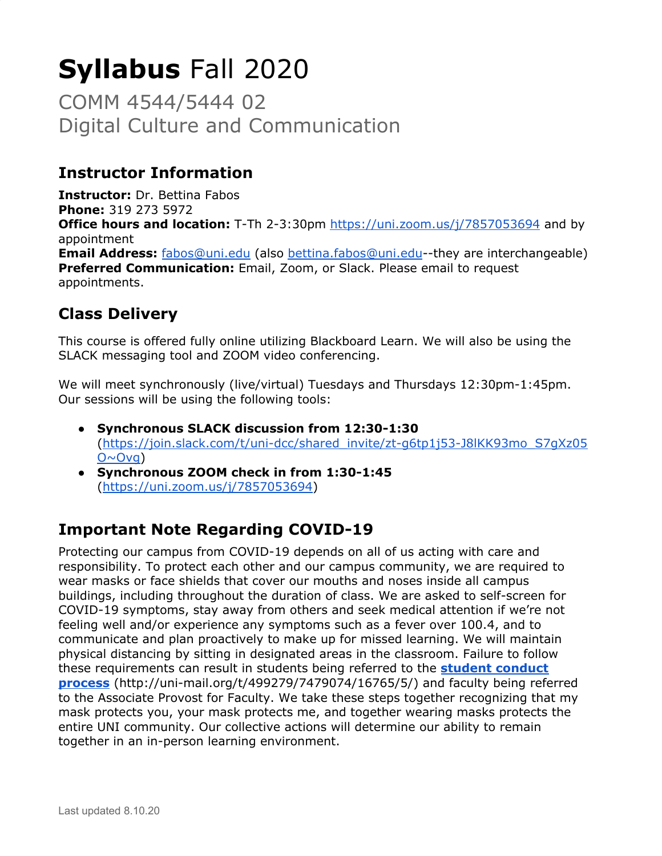# **Syllabus** Fall 2020

COMM 4544/5444 02 Digital Culture and Communication

# **Instructor Information**

**Instructor:** Dr. Bettina Fabos **Phone:** 319 273 5972 **Office hours and location:** T-Th 2-3:30pm <https://uni.zoom.us/j/7857053694> and by appointment **Email Address:** [fabos@uni.edu](mailto:fabos@uni.edu) (also [bettina.fabos@uni.edu-](mailto:bettina.fabos@uni.edu)-they are interchangeable) **Preferred Communication:** Email, Zoom, or Slack. Please email to request appointments.

# **Class Delivery**

This course is offered fully online utilizing Blackboard Learn. We will also be using the SLACK messaging tool and ZOOM video conferencing.

We will meet synchronously (live/virtual) Tuesdays and Thursdays 12:30pm-1:45pm. Our sessions will be using the following tools:

- **Synchronous SLACK discussion from 12:30-1:30** ([https://join.slack.com/t/uni-dcc/shared\\_invite/zt-g6tp1j53-J8lKK93mo\\_S7gXz05](https://join.slack.com/t/uni-dcc/shared_invite/zt-g6tp1j53-J8lKK93mo_S7gXz05O~Ovg)  $O \sim O v q$ )
- **Synchronous ZOOM check in from 1:30-1:45** ([https://uni.zoom.us/j/7857053694\)](https://uni.zoom.us/j/7857053694)

# **Important Note Regarding COVID-19**

Protecting our campus from COVID-19 depends on all of us acting with care and responsibility. To protect each other and our campus community, we are required to wear masks or face shields that cover our mouths and noses inside all campus buildings, including throughout the duration of class. We are asked to self-screen for COVID-19 symptoms, stay away from others and seek medical attention if we're not feeling well and/or experience any symptoms such as a fever over 100.4, and to communicate and plan proactively to make up for missed learning. We will maintain physical distancing by sitting in designated areas in the classroom. Failure to follow these requirements can result in students being referred to the **student [conduct](http://uni-mail.org/t/499279/7479074/16765/5/) [process](http://uni-mail.org/t/499279/7479074/16765/5/)** (http://uni-mail.org/t/499279/7479074/16765/5/) and faculty being referred to the Associate Provost for Faculty. We take these steps together recognizing that my mask protects you, your mask protects me, and together wearing masks protects the entire UNI community. Our collective actions will determine our ability to remain together in an in-person learning environment.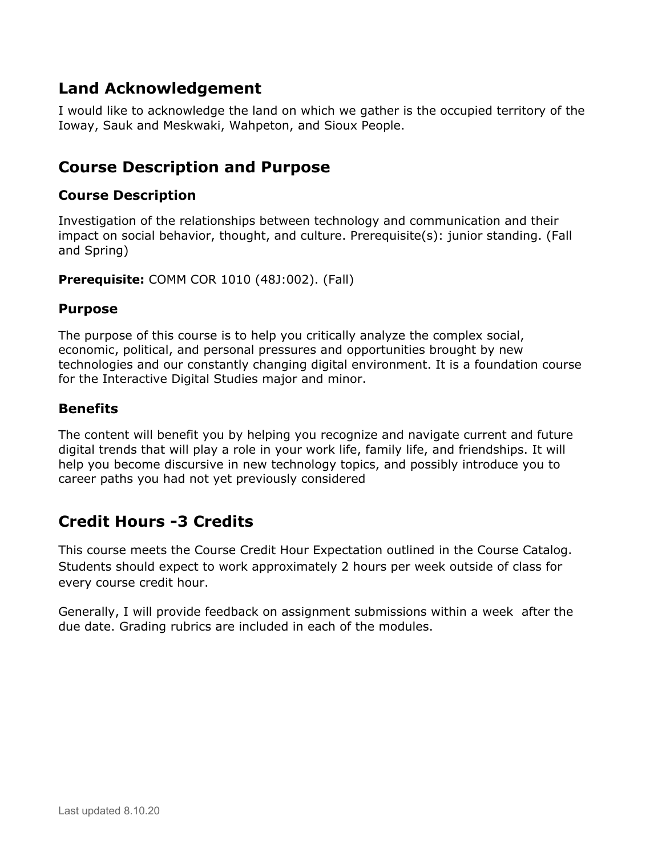# **Land Acknowledgement**

I would like to acknowledge the land on which we gather is the occupied territory of the Ioway, Sauk and Meskwaki, Wahpeton, and Sioux People.

## **Course Description and Purpose**

#### **Course Description**

Investigation of the relationships between technology and communication and their impact on social behavior, thought, and culture. Prerequisite(s): junior standing. (Fall and Spring)

**Prerequisite:** COMM COR 1010 (48J:002). (Fall)

#### **Purpose**

The purpose of this course is to help you critically analyze the complex social, economic, political, and personal pressures and opportunities brought by new technologies and our constantly changing digital environment. It is a foundation course for the Interactive Digital Studies major and minor.

## **Benefits**

The content will benefit you by helping you recognize and navigate current and future digital trends that will play a role in your work life, family life, and friendships. It will help you become discursive in new technology topics, and possibly introduce you to career paths you had not yet previously considered

## **Credit Hours -3 Credits**

This course meets the Course Credit Hour Expectation outlined in the Course Catalog. Students should expect to work approximately 2 hours per week outside of class for every course credit hour.

Generally, I will provide feedback on assignment submissions within a week after the due date. Grading rubrics are included in each of the modules.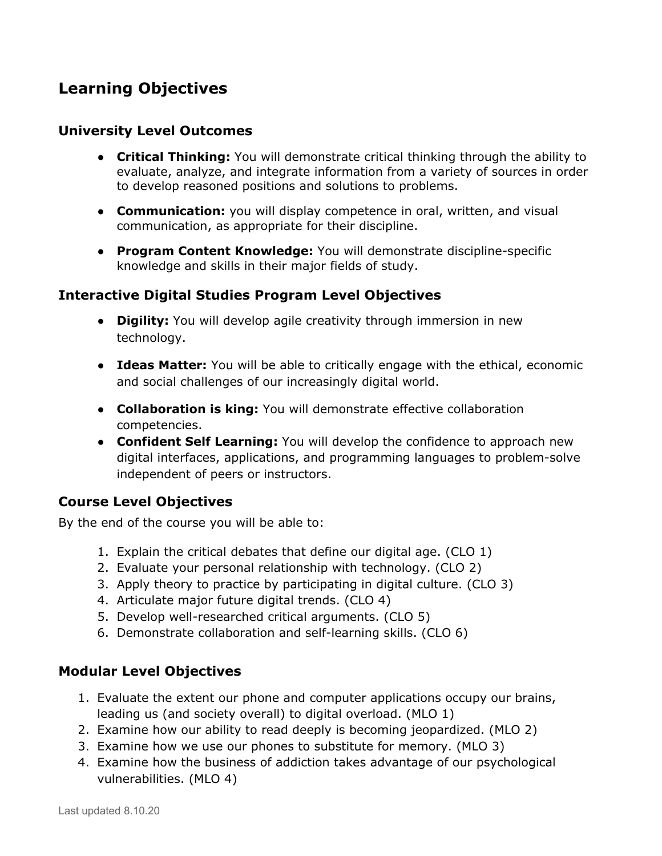# **Learning Objectives**

#### **University Level Outcomes**

- **Critical Thinking:** You will demonstrate critical thinking through the ability to evaluate, analyze, and integrate information from a variety of sources in order to develop reasoned positions and solutions to problems.
- **● Communication:** you will display competence in oral, written, and visual communication, as appropriate for their discipline.
- **Program Content Knowledge:** You will demonstrate discipline-specific knowledge and skills in their major fields of study.

## **Interactive Digital Studies Program Level Objectives**

- **Digility:** You will develop agile creativity through immersion in new technology.
- **Ideas Matter:** You will be able to critically engage with the ethical, economic and social challenges of our increasingly digital world.
- **Collaboration is king:** You will demonstrate effective collaboration competencies.
- **Confident Self Learning:** You will develop the confidence to approach new digital interfaces, applications, and programming languages to problem-solve independent of peers or instructors.

## **Course Level Objectives**

By the end of the course you will be able to:

- 1. Explain the critical debates that define our digital age. (CLO 1)
- 2. Evaluate your personal relationship with technology. (CLO 2)
- 3. Apply theory to practice by participating in digital culture. (CLO 3)
- 4. Articulate major future digital trends. (CLO 4)
- 5. Develop well-researched critical arguments. (CLO 5)
- 6. Demonstrate collaboration and self-learning skills. (CLO 6)

## **Modular Level Objectives**

- 1. Evaluate the extent our phone and computer applications occupy our brains, leading us (and society overall) to digital overload. (MLO 1)
- 2. Examine how our ability to read deeply is becoming jeopardized. (MLO 2)
- 3. Examine how we use our phones to substitute for memory. (MLO 3)
- 4. Examine how the business of addiction takes advantage of our psychological vulnerabilities. (MLO 4)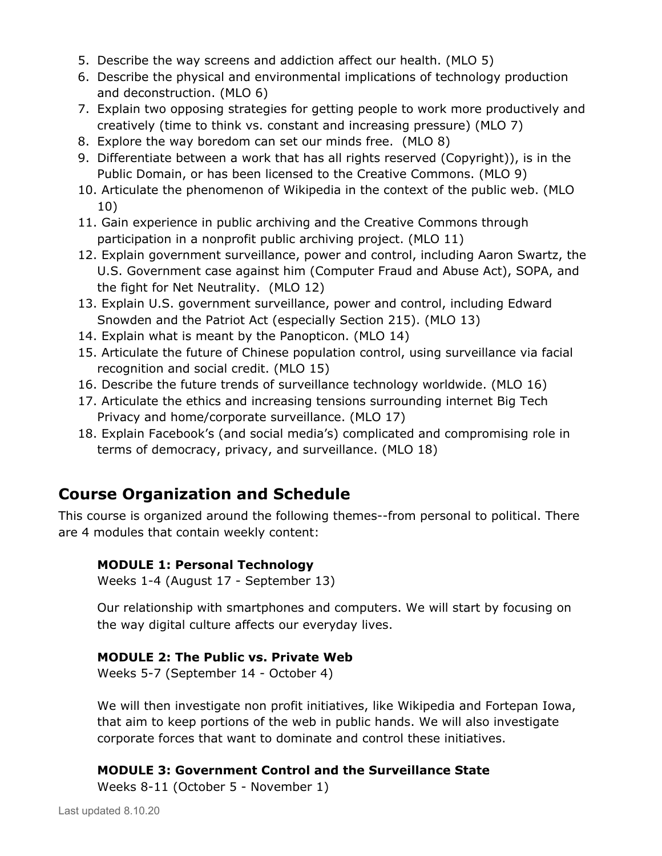- 5. Describe the way screens and addiction affect our health. (MLO 5)
- 6. Describe the physical and environmental implications of technology production and deconstruction. (MLO 6)
- 7. Explain two opposing strategies for getting people to work more productively and creatively (time to think vs. constant and increasing pressure) (MLO 7)
- 8. Explore the way boredom can set our minds free. (MLO 8)
- 9. Differentiate between a work that has all rights reserved (Copyright)), is in the Public Domain, or has been licensed to the Creative Commons. (MLO 9)
- 10. Articulate the phenomenon of Wikipedia in the context of the public web. (MLO 10)
- 11. Gain experience in public archiving and the Creative Commons through participation in a nonprofit public archiving project. (MLO 11)
- 12. Explain government surveillance, power and control, including Aaron Swartz, the U.S. Government case against him (Computer Fraud and Abuse Act), SOPA, and the fight for Net Neutrality. (MLO 12)
- 13. Explain U.S. government surveillance, power and control, including Edward Snowden and the Patriot Act (especially Section 215). (MLO 13)
- 14. Explain what is meant by the Panopticon. (MLO 14)
- 15. Articulate the future of Chinese population control, using surveillance via facial recognition and social credit. (MLO 15)
- 16. Describe the future trends of surveillance technology worldwide. (MLO 16)
- 17. Articulate the ethics and increasing tensions surrounding internet Big Tech Privacy and home/corporate surveillance. (MLO 17)
- 18. Explain Facebook's (and social media's) complicated and compromising role in terms of democracy, privacy, and surveillance. (MLO 18)

# **Course Organization and Schedule**

This course is organized around the following themes--from personal to political. There are 4 modules that contain weekly content:

## **MODULE 1: Personal Technology**

Weeks 1-4 (August 17 - September 13)

Our relationship with smartphones and computers. We will start by focusing on the way digital culture affects our everyday lives.

#### **MODULE 2: The Public vs. Private Web**

Weeks 5-7 (September 14 - October 4)

We will then investigate non profit initiatives, like Wikipedia and Fortepan Iowa, that aim to keep portions of the web in public hands. We will also investigate corporate forces that want to dominate and control these initiatives.

## **MODULE 3: Government Control and the Surveillance State**

Weeks 8-11 (October 5 - November 1)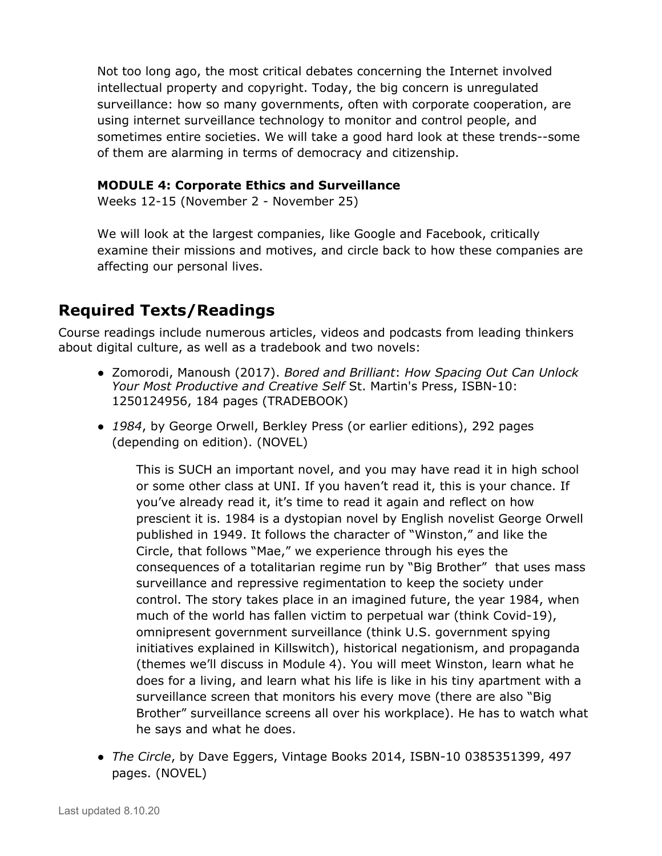Not too long ago, the most critical debates concerning the Internet involved intellectual property and copyright. Today, the big concern is unregulated surveillance: how so many governments, often with corporate cooperation, are using internet surveillance technology to monitor and control people, and sometimes entire societies. We will take a good hard look at these trends--some of them are alarming in terms of democracy and citizenship.

#### **MODULE 4: Corporate Ethics and Surveillance**

Weeks 12-15 (November 2 - November 25)

We will look at the largest companies, like Google and Facebook, critically examine their missions and motives, and circle back to how these companies are affecting our personal lives.

## **Required Texts/Readings**

Course readings include numerous articles, videos and podcasts from leading thinkers about digital culture, as well as a tradebook and two novels:

- Zomorodi, Manoush (2017). *Bored and Brilliant*: *How Spacing Out Can Unlock Your Most Productive and Creative Self* St. Martin's Press, ISBN-10: 1250124956, 184 pages (TRADEBOOK)
- *1984*, by George Orwell, Berkley Press (or earlier editions), 292 pages (depending on edition). (NOVEL)

This is SUCH an important novel, and you may have read it in high school or some other class at UNI. If you haven't read it, this is your chance. If you've already read it, it's time to read it again and reflect on how prescient it is. 1984 is a dystopian novel by English novelist George Orwell published in 1949. It follows the character of "Winston," and like the Circle, that follows "Mae," we experience through his eyes the consequences of a totalitarian regime run by "Big Brother" that uses mass surveillance and repressive regimentation to keep the society under control. The story takes place in an imagined future, the year 1984, when much of the world has fallen victim to perpetual war (think Covid-19), omnipresent government surveillance (think U.S. government spying initiatives explained in Killswitch), historical negationism, and propaganda (themes we'll discuss in Module 4). You will meet Winston, learn what he does for a living, and learn what his life is like in his tiny apartment with a surveillance screen that monitors his every move (there are also "Big Brother" surveillance screens all over his workplace). He has to watch what he says and what he does.

● *The Circle*, by Dave Eggers, Vintage Books 2014, ISBN-10 0385351399, 497 pages. (NOVEL)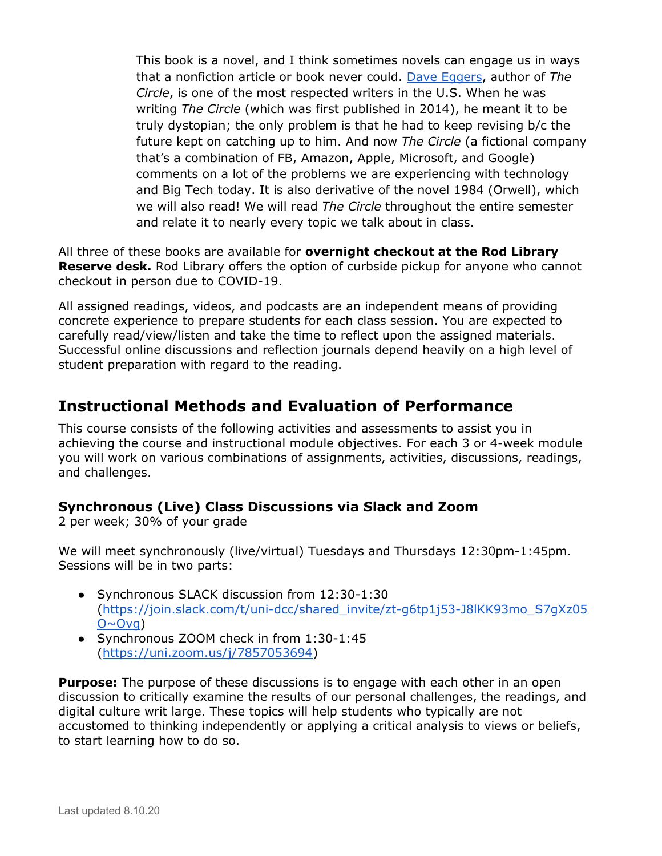This book is a novel, and I think sometimes novels can engage us in ways that a nonfiction article or book never could. Dave [Eggers,](https://en.wikipedia.org/wiki/Dave_Eggers) author of *The Circle*, is one of the most respected writers in the U.S. When he was writing *The Circle* (which was first published in 2014), he meant it to be truly dystopian; the only problem is that he had to keep revising b/c the future kept on catching up to him. And now *The Circle* (a fictional company that's a combination of FB, Amazon, Apple, Microsoft, and Google) comments on a lot of the problems we are experiencing with technology and Big Tech today. It is also derivative of the novel 1984 (Orwell), which we will also read! We will read *The Circle* throughout the entire semester and relate it to nearly every topic we talk about in class.

All three of these books are available for **overnight checkout at the Rod Library Reserve desk.** Rod Library offers the option of curbside pickup for anyone who cannot checkout in person due to COVID-19.

All assigned readings, videos, and podcasts are an independent means of providing concrete experience to prepare students for each class session. You are expected to carefully read/view/listen and take the time to reflect upon the assigned materials. Successful online discussions and reflection journals depend heavily on a high level of student preparation with regard to the reading.

## **Instructional Methods and Evaluation of Performance**

This course consists of the following activities and assessments to assist you in achieving the course and instructional module objectives. For each 3 or 4-week module you will work on various combinations of assignments, activities, discussions, readings, and challenges.

## **Synchronous (Live) Class Discussions via Slack and Zoom**

2 per week; 30% of your grade

We will meet synchronously (live/virtual) Tuesdays and Thursdays 12:30pm-1:45pm. Sessions will be in two parts:

- Synchronous SLACK discussion from 12:30-1:30 ([https://join.slack.com/t/uni-dcc/shared\\_invite/zt-g6tp1j53-J8lKK93mo\\_S7gXz05](https://join.slack.com/t/uni-dcc/shared_invite/zt-g6tp1j53-J8lKK93mo_S7gXz05O~Ovg)  $O \sim O(vq)$
- Synchronous ZOOM check in from 1:30-1:45 ([https://uni.zoom.us/j/7857053694\)](https://uni.zoom.us/j/7857053694)

**Purpose:** The purpose of these discussions is to engage with each other in an open discussion to critically examine the results of our personal challenges, the readings, and digital culture writ large. These topics will help students who typically are not accustomed to thinking independently or applying a critical analysis to views or beliefs, to start learning how to do so.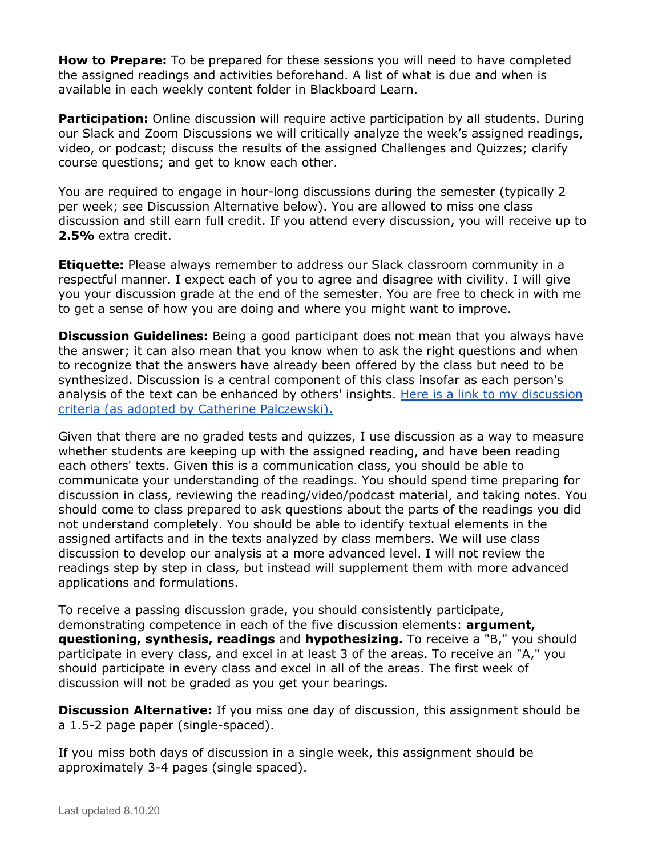**How to Prepare:** To be prepared for these sessions you will need to have completed the assigned readings and activities beforehand. A list of what is due and when is available in each weekly content folder in Blackboard Learn.

**Participation:** Online discussion will require active participation by all students. During our Slack and Zoom Discussions we will critically analyze the week's assigned readings, video, or podcast; discuss the results of the assigned Challenges and Quizzes; clarify course questions; and get to know each other.

You are required to engage in hour-long discussions during the semester (typically 2 per week; see Discussion Alternative below). You are allowed to miss one class discussion and still earn full credit. If you attend every discussion, you will receive up to **2.5%** extra credit.

**Etiquette:** Please always remember to address our Slack classroom community in a respectful manner. I expect each of you to agree and disagree with civility. I will give you your discussion grade at the end of the semester. You are free to check in with me to get a sense of how you are doing and where you might want to improve.

**Discussion Guidelines:** Being a good participant does not mean that you always have the answer; it can also mean that you know when to ask the right questions and when to recognize that the answers have already been offered by the class but need to be synthesized. Discussion is a central component of this class insofar as each person's analysis of the text can be enhanced by others' insights. Here is a link to my [discussion](https://docs.google.com/document/d/1vU1ZbWfBml2vEUM9GfOeLvOvBgqJbN7sxnW494ZB4Fc/edit?usp=sharing) criteria (as adopted by Catherine [Palczewski\).](https://docs.google.com/document/d/1vU1ZbWfBml2vEUM9GfOeLvOvBgqJbN7sxnW494ZB4Fc/edit?usp=sharing)

Given that there are no graded tests and quizzes, I use discussion as a way to measure whether students are keeping up with the assigned reading, and have been reading each others' texts. Given this is a communication class, you should be able to communicate your understanding of the readings. You should spend time preparing for discussion in class, reviewing the reading/video/podcast material, and taking notes. You should come to class prepared to ask questions about the parts of the readings you did not understand completely. You should be able to identify textual elements in the assigned artifacts and in the texts analyzed by class members. We will use class discussion to develop our analysis at a more advanced level. I will not review the readings step by step in class, but instead will supplement them with more advanced applications and formulations.

To receive a passing discussion grade, you should consistently participate, demonstrating competence in each of the five discussion elements: **argument, questioning, synthesis, readings** and **hypothesizing.** To receive a "B," you should participate in every class, and excel in at least 3 of the areas. To receive an "A," you should participate in every class and excel in all of the areas. The first week of discussion will not be graded as you get your bearings.

**Discussion Alternative:** If you miss one day of discussion, this assignment should be a 1.5-2 page paper (single-spaced).

If you miss both days of discussion in a single week, this assignment should be approximately 3-4 pages (single spaced).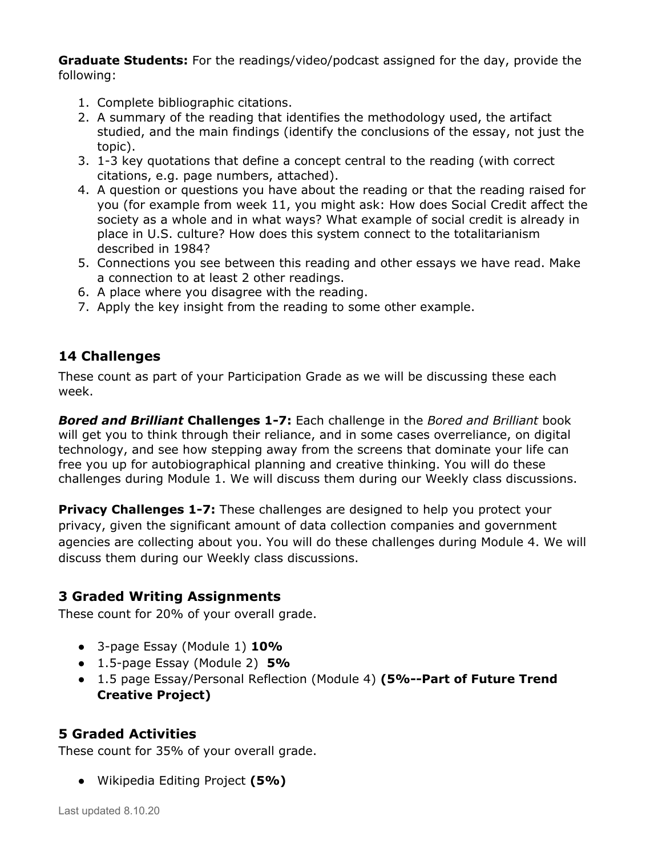**Graduate Students:** For the readings/video/podcast assigned for the day, provide the following:

- 1. Complete bibliographic citations.
- 2. A summary of the reading that identifies the methodology used, the artifact studied, and the main findings (identify the conclusions of the essay, not just the topic).
- 3. 1-3 key quotations that define a concept central to the reading (with correct citations, e.g. page numbers, attached).
- 4. A question or questions you have about the reading or that the reading raised for you (for example from week 11, you might ask: How does Social Credit affect the society as a whole and in what ways? What example of social credit is already in place in U.S. culture? How does this system connect to the totalitarianism described in 1984?
- 5. Connections you see between this reading and other essays we have read. Make a connection to at least 2 other readings.
- 6. A place where you disagree with the reading.
- 7. Apply the key insight from the reading to some other example.

## **14 Challenges**

These count as part of your Participation Grade as we will be discussing these each week.

*Bored and Brilliant* **Challenges 1-7:** Each challenge in the *Bored and Brilliant* book will get you to think through their reliance, and in some cases overreliance, on digital technology, and see how stepping away from the screens that dominate your life can free you up for autobiographical planning and creative thinking. You will do these challenges during Module 1. We will discuss them during our Weekly class discussions.

**Privacy Challenges 1-7:** These challenges are designed to help you protect your privacy, given the significant amount of data collection companies and government agencies are collecting about you. You will do these challenges during Module 4. We will discuss them during our Weekly class discussions.

## **3 Graded Writing Assignments**

These count for 20% of your overall grade.

- 3-page Essay (Module 1) **10%**
- 1.5-page Essay (Module 2) **5%**
- 1.5 page Essay/Personal Reflection (Module 4) **(5%--Part of Future Trend Creative Project)**

## **5 Graded Activities**

These count for 35% of your overall grade.

● Wikipedia Editing Project **(5%)**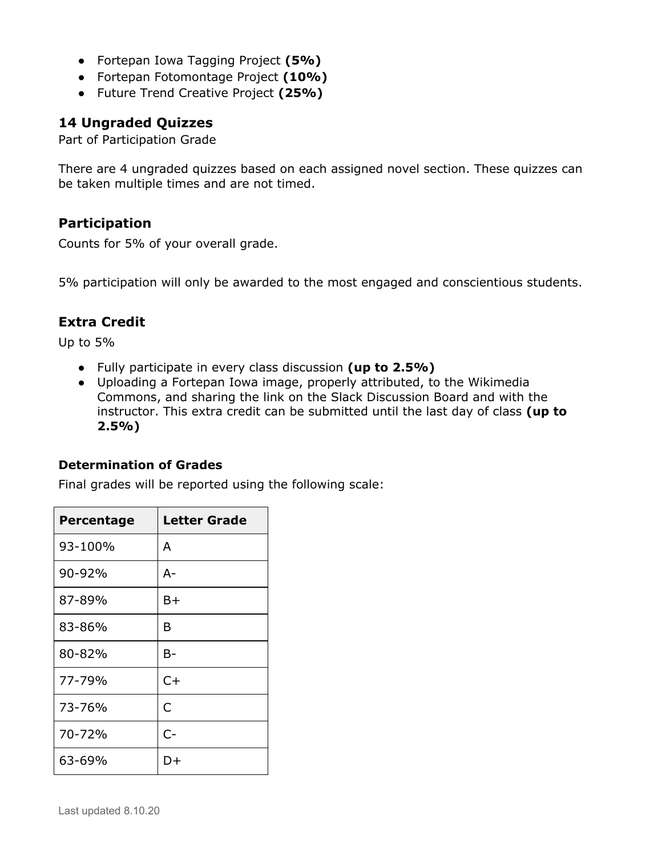- Fortepan Iowa Tagging Project **(5%)**
- Fortepan Fotomontage Project **(10%)**
- Future Trend Creative Project **(25%)**

#### **14 Ungraded Quizzes**

Part of Participation Grade

There are 4 ungraded quizzes based on each assigned novel section. These quizzes can be taken multiple times and are not timed.

#### **Participation**

Counts for 5% of your overall grade.

5% participation will only be awarded to the most engaged and conscientious students.

## **Extra Credit**

Up to 5%

- Fully participate in every class discussion **(up to 2.5%)**
- Uploading a Fortepan Iowa image, properly attributed, to the Wikimedia Commons, and sharing the link on the Slack Discussion Board and with the instructor. This extra credit can be submitted until the last day of class **(up to 2.5%)**

#### **Determination of Grades**

Final grades will be reported using the following scale:

| Percentage | <b>Letter Grade</b> |
|------------|---------------------|
| 93-100%    | A                   |
| 90-92%     | А-                  |
| 87-89%     | B+                  |
| 83-86%     | в                   |
| 80-82%     | B-                  |
| 77-79%     | $C+$                |
| 73-76%     | C                   |
| 70-72%     | $C-$                |
| 63-69%     | $1) +$              |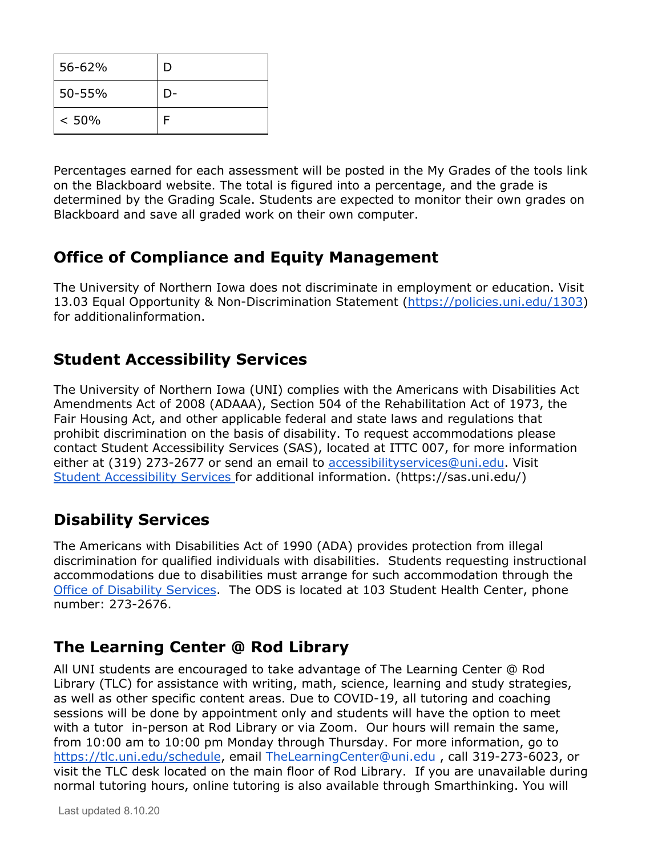| 56-62% | D |
|--------|---|
| 50-55% |   |
| < 50%  |   |

Percentages earned for each assessment will be posted in the My Grades of the tools link on the Blackboard website. The total is figured into a percentage, and the grade is determined by the Grading Scale. Students are expected to monitor their own grades on Blackboard and save all graded work on their own computer.

## **Office of Compliance and Equity Management**

The University of Northern Iowa does not discriminate in employment or education. Visit 13.03 Equal Opportunity & Non-Discrimination Statement [\(https://policies.uni.edu/1303](https://policies.uni.edu/1303)) for additionalinformation.

# **Student Accessibility Services**

The University of Northern Iowa (UNI) complies with the Americans with Disabilities Act Amendments Act of 2008 (ADAAA), Section 504 of the Rehabilitation Act of 1973, the Fair Housing Act, and other applicable federal and state laws and regulations that prohibit discrimination on the basis of disability. To request accommodations please contact Student Accessibility Services (SAS), located at ITTC 007, for more information either at (319) 273-2677 or send an email to [accessibilityservices@uni.edu](mailto:accessibilityservices@uni.edu). Visit Student [Accessibility](https://sas.uni.edu/) Services for additional information. (https://sas.uni.edu/)

# **Disability Services**

The Americans with Disabilities Act of 1990 (ADA) provides protection from illegal discrimination for qualified individuals with disabilities. Students requesting instructional accommodations due to disabilities must arrange for such accommodation through the Office of [Disability](http://www.uni.edu/disability/) Services. The ODS is located at 103 Student Health Center, phone number: 273-2676.

# **The Learning Center @ Rod Library**

All UNI students are encouraged to take advantage of The Learning Center @ Rod Library (TLC) for assistance with writing, math, science, learning and study strategies, as well as other specific content areas. Due to COVID-19, all tutoring and coaching sessions will be done by appointment only and students will have the option to meet with a tutor in-person at Rod Library or via Zoom. Our hours will remain the same, from 10:00 am to 10:00 pm Monday through Thursday. For more information, go to <https://tlc.uni.edu/schedule>, email TheLearningCenter@uni.edu , call 319-273-6023, or visit the TLC desk located on the main floor of Rod Library. If you are unavailable during normal tutoring hours, online tutoring is also available through Smarthinking. You will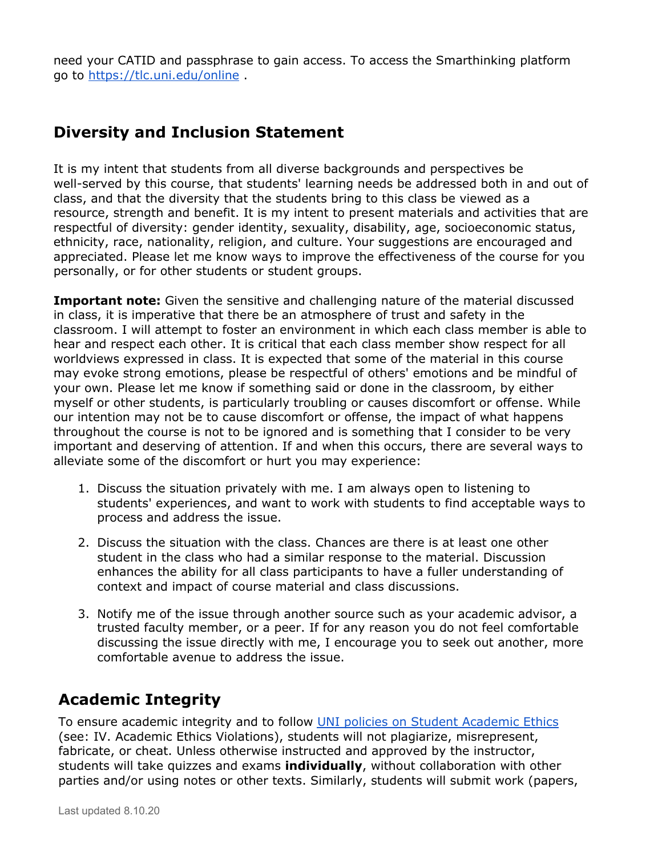need your CATID and passphrase to gain access. To access the Smarthinking platform go to <https://tlc.uni.edu/online> .

## **Diversity and Inclusion Statement**

It is my intent that students from all diverse backgrounds and perspectives be well-served by this course, that students' learning needs be addressed both in and out of class, and that the diversity that the students bring to this class be viewed as a resource, strength and benefit. It is my intent to present materials and activities that are respectful of diversity: gender identity, sexuality, disability, age, socioeconomic status, ethnicity, race, nationality, religion, and culture. Your suggestions are encouraged and appreciated. Please let me know ways to improve the effectiveness of the course for you personally, or for other students or student groups.

**Important note:** Given the sensitive and challenging nature of the material discussed in class, it is imperative that there be an atmosphere of trust and safety in the classroom. I will attempt to foster an environment in which each class member is able to hear and respect each other. It is critical that each class member show respect for all worldviews expressed in class. It is expected that some of the material in this course may evoke strong emotions, please be respectful of others' emotions and be mindful of your own. Please let me know if something said or done in the classroom, by either myself or other students, is particularly troubling or causes discomfort or offense. While our intention may not be to cause discomfort or offense, the impact of what happens throughout the course is not to be ignored and is something that I consider to be very important and deserving of attention. If and when this occurs, there are several ways to alleviate some of the discomfort or hurt you may experience:

- 1. Discuss the situation privately with me. I am always open to listening to students' experiences, and want to work with students to find acceptable ways to process and address the issue.
- 2. Discuss the situation with the class. Chances are there is at least one other student in the class who had a similar response to the material. Discussion enhances the ability for all class participants to have a fuller understanding of context and impact of course material and class discussions.
- 3. Notify me of the issue through another source such as your academic advisor, a trusted faculty member, or a peer. If for any reason you do not feel comfortable discussing the issue directly with me, I encourage you to seek out another, more comfortable avenue to address the issue.

# **Academic Integrity**

To ensure academic integrity and to follow UNI policies on Student [Academic](https://policies.uni.edu/301) Ethics (see: IV. Academic Ethics Violations), students will not plagiarize, misrepresent, fabricate, or cheat. Unless otherwise instructed and approved by the instructor, students will take quizzes and exams **individually**, without collaboration with other parties and/or using notes or other texts. Similarly, students will submit work (papers,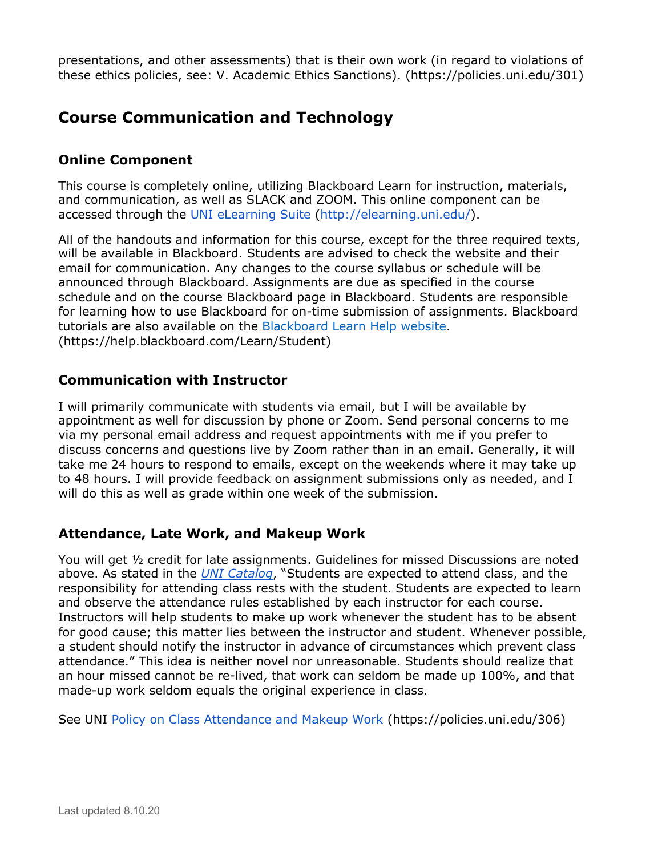presentations, and other assessments) that is their own work (in regard to violations of these ethics policies, see: V. Academic Ethics Sanctions). (https://policies.uni.edu/301)

## **Course Communication and Technology**

## **Online Component**

This course is completely online, utilizing Blackboard Learn for instruction, materials, and communication, as well as SLACK and ZOOM. This online component can be accessed through the UNI [eLearning](http://elearning.uni.edu/) Suite [\(http://elearning.uni.edu/](http://elearning.uni.edu/)).

All of the handouts and information for this course, except for the three required texts, will be available in Blackboard. Students are advised to check the website and their email for communication. Any changes to the course syllabus or schedule will be announced through Blackboard. Assignments are due as specified in the course schedule and on the course Blackboard page in Blackboard. Students are responsible for learning how to use Blackboard for on-time submission of assignments. Blackboard tutorials are also available on the [Blackboard](https://help.blackboard.com/Learn/Student) Learn Help website. (https://help.blackboard.com/Learn/Student)

#### **Communication with Instructor**

I will primarily communicate with students via email, but I will be available by appointment as well for discussion by phone or Zoom. Send personal concerns to me via my personal email address and request appointments with me if you prefer to discuss concerns and questions live by Zoom rather than in an email. Generally, it will take me 24 hours to respond to emails, except on the weekends where it may take up to 48 hours. I will provide feedback on assignment submissions only as needed, and I will do this as well as grade within one week of the submission.

## **Attendance, Late Work, and Makeup Work**

You will get ½ credit for late assignments. Guidelines for missed Discussions are noted above. As stated in the *[U](http://www.uni.edu/catalog/acadreg.shtml#attendance)NI [Catalog](http://www.uni.edu/catalog/acadreg.shtml#attendance)*, "Students are expected to attend class, and the responsibility for attending class rests with the student. Students are expected to learn and observe the attendance rules established by each instructor for each course. Instructors will help students to make up work whenever the student has to be absent for good cause; this matter lies between the instructor and student. Whenever possible, a student should notify the instructor in advance of circumstances which prevent class attendance." This idea is neither novel nor unreasonable. Students should realize that an hour missed cannot be re-lived, that work can seldom be made up 100%, and that made-up work seldom equals the original experience in class.

See UNI Policy on Class [Attendance](https://policies.uni.edu/306) and Makeup Work (https://policies.uni.edu/306)